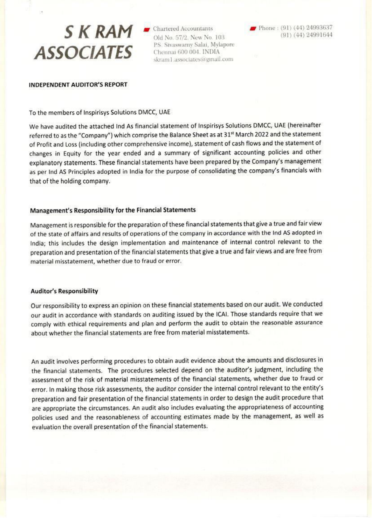# $S$   $K$   $RAM$   $\blacksquare$  Chartered Accountants **ASSOCIATES**

Old No. 57/2, New No. 103 PS. Sivaswamy Salai, Mylapore Chennai 600 004. INDIA skram1.associates@gmail.com

### **INDEPENDENT AUDITOR'S REPORT**

### To the members of Inspirisys Solutions DMCC, UAE

We have audited the attached Ind As financial statement of Inspirisys Solutions DMCC, UAE (hereinafter referred to as the "Company") which comprise the Balance Sheet as at 31<sup>st</sup> March 2022 and the statement of Profit and Loss (including other comprehensive income), statement of cash flows and the statement of changes in Equity for the year ended and a summary of significant accounting policies and other explanatory statements. These financial statements have been prepared by the Company's management as per Ind AS Principles adopted in India for the purpose of consolidating the company's financials with that of the holding company.

### Management's Responsibility for the Financial Statements

Management is responsible for the preparation of these financial statements that give a true and fair view of the state of affairs and results of operations of the company in accordance with the Ind AS adopted in India; this includes the design implementation and maintenance of internal control relevant to the preparation and presentation of the financial statements that give a true and fair views and are free from material misstatement, whether due to fraud or error.

### **Auditor's Responsibility**

Our responsibility to express an opinion on these financial statements based on our audit. We conducted our audit in accordance with standards on auditing issued by the ICAI. Those standards require that we comply with ethical requirements and plan and perform the audit to obtain the reasonable assurance about whether the financial statements are free from material misstatements.

An audit involves performing procedures to obtain audit evidence about the amounts and disclosures in the financial statements. The procedures selected depend on the auditor's judgment, including the assessment of the risk of material misstatements of the financial statements, whether due to fraud or error. In making those risk assessments, the auditor consider the internal control relevant to the entity's preparation and fair presentation of the financial statements in order to design the audit procedure that are appropriate the circumstances. An audit also includes evaluating the appropriateness of accounting policies used and the reasonableness of accounting estimates made by the management, as well as evaluation the overall presentation of the financial statements.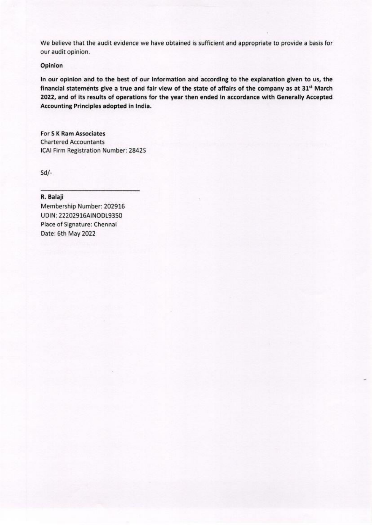We believe that the audit evidence we have obtained is sufficient and appropriate to provide a basis for our audit opinion.

### Opinion

In our opinion and to the best of our information and according to the explanation given to us, the financial statements give a true and fair view of the state of affairs of the company as at 31st March 2022, and of its results of operations for the year then ended in accordance with Generally Accepted Accounting Principles adopted in India.

For S K Ram Associates **Chartered Accountants** ICAI Firm Registration Number: 2842S

 $Sd$ /-

### R. Balaji

Membership Number: 202916 UDIN: 22202916AINODL9350 Place of Signature: Chennai Date: 6th May 2022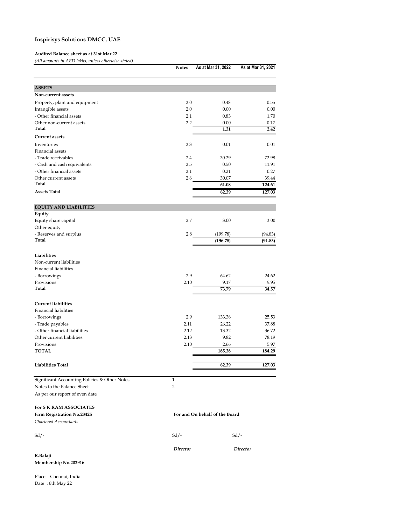#### Audited Balance sheet as at 31st Mar'22

(All amounts in AED lakhs, unless otherwise stated)

| $\mu$ in amounto in Time against, annoso other whoe stated, | <b>Notes</b> | As at Mar 31, 2022             | As at Mar 31, 2021 |
|-------------------------------------------------------------|--------------|--------------------------------|--------------------|
| <b>ASSETS</b>                                               |              |                                |                    |
| Non-current assets                                          |              |                                |                    |
| Property, plant and equipment                               | 2.0          | 0.48                           | 0.55               |
| Intangible assets                                           | 2.0          | 0.00                           | 0.00               |
| - Other financial assets                                    | 2.1          | 0.83                           | 1.70               |
| Other non-current assets<br>Total                           | 2.2          | 0.00<br>1.31                   | 0.17<br>2.42       |
| <b>Current assets</b>                                       |              |                                |                    |
| Inventories                                                 | 2.3          | 0.01                           | 0.01               |
| Financial assets                                            |              |                                |                    |
| - Trade receivables                                         | 2.4          | 30.29                          | 72.98              |
| - Cash and cash equivalents                                 | 2.5          | 0.50                           | 11.91              |
| - Other financial assets                                    | 2.1          | 0.21                           | 0.27               |
| Other current assets                                        | 2.6          | 30.07                          | 39.44              |
| Total                                                       |              | 61.08                          | 124.61             |
| <b>Assets Total</b>                                         |              | 62.39                          | 127.03             |
| <b>EQUITY AND LIABILITIES</b>                               |              |                                |                    |
| Equity                                                      |              |                                |                    |
| Equity share capital                                        | 2.7          | 3.00                           | 3.00               |
| Other equity                                                |              |                                |                    |
| - Reserves and surplus                                      | 2.8          | (199.78)                       | (94.83)            |
| Total                                                       |              | (196.78)                       | (91.83)            |
|                                                             |              |                                |                    |
| Liabilities<br>Non-current liabilities                      |              |                                |                    |
| <b>Financial liabilities</b>                                |              |                                |                    |
| - Borrowings                                                | 2.9          | 64.62                          | 24.62              |
| Provisions                                                  | 2.10         | 9.17                           | 9.95               |
| Total                                                       |              | 73.79                          | 34.57              |
|                                                             |              |                                |                    |
| <b>Current liabilities</b>                                  |              |                                |                    |
| <b>Financial liabilities</b>                                |              |                                |                    |
| - Borrowings                                                | 2.9          | 133.36                         | 25.53              |
| - Trade payables                                            | 2.11         | 26.22                          | 37.88              |
| - Other financial liabilities                               | 2.12         | 13.32                          | 36.72              |
| Other current liabilities                                   | 2.13         | 9.82                           | 78.19              |
| Provisions<br><b>TOTAL</b>                                  | 2.10         | 2.66<br>185.38                 | 5.97<br>184.29     |
|                                                             |              |                                |                    |
| <b>Liabilities Total</b>                                    |              | 62.39                          | 127.03             |
| Significant Accounting Policies & Other Notes               | 1            |                                |                    |
| Notes to the Balance Sheet                                  | 2            |                                |                    |
| As per our report of even date                              |              |                                |                    |
| For S K RAM ASSOCIATES                                      |              |                                |                    |
| Firm Registration No.2842S                                  |              | For and On behalf of the Board |                    |
| Chartered Accountants                                       |              |                                |                    |
| $Sd$ /-                                                     | $Sd/-$       |                                | $Sd$ /-            |
|                                                             |              |                                |                    |
|                                                             | Director     |                                | Director           |
| R.Balaji                                                    |              |                                |                    |

### Membership No.202916

Place: Chennai, India Date : 6th May 22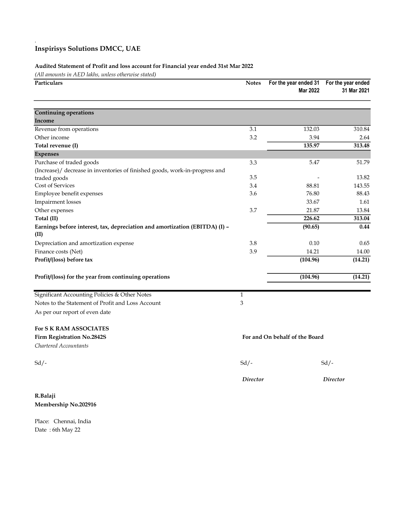.

### Audited Statement of Profit and loss account for Financial year ended 31st Mar 2022

(All amounts in AED lakhs, unless otherwise stated)

| Particulars                                                                         | <b>Notes</b>    | For the year ended 31<br><b>Mar 2022</b> | For the year ended<br>31 Mar 2021 |
|-------------------------------------------------------------------------------------|-----------------|------------------------------------------|-----------------------------------|
|                                                                                     |                 |                                          |                                   |
| <b>Continuing operations</b><br>Income                                              |                 |                                          |                                   |
| Revenue from operations                                                             | 3.1             | 132.03                                   | 310.84                            |
| Other income                                                                        | 3.2             | 3.94                                     | 2.64                              |
| Total revenue (I)                                                                   |                 | 135.97                                   | 313.48                            |
| <b>Expenses</b>                                                                     |                 |                                          |                                   |
| Purchase of traded goods                                                            | 3.3             | 5.47                                     | 51.79                             |
| (Increase)/ decrease in inventories of finished goods, work-in-progress and         |                 |                                          |                                   |
| traded goods                                                                        | 3.5             |                                          | 13.82                             |
| Cost of Services                                                                    | 3.4             | 88.81                                    | 143.55                            |
| Employee benefit expenses                                                           | 3.6             | 76.80                                    | 88.43                             |
| <b>Impairment</b> losses                                                            |                 | 33.67                                    | 1.61                              |
| Other expenses                                                                      | 3.7             | 21.87                                    | 13.84                             |
| Total (II)                                                                          |                 | 226.62                                   | 313.04                            |
| Earnings before interest, tax, depreciation and amortization (EBITDA) (I) -<br>(II) |                 | (90.65)                                  | 0.44                              |
| Depreciation and amortization expense                                               | 3.8             | 0.10                                     | 0.65                              |
| Finance costs (Net)                                                                 | 3.9             | 14.21                                    | 14.00                             |
| Profit/(loss) before tax                                                            |                 | (104.96)                                 | (14.21)                           |
| Profit/(loss) for the year from continuing operations                               |                 | (104.96)                                 | (14.21)                           |
| Significant Accounting Policies & Other Notes                                       | $\mathbf{1}$    |                                          |                                   |
| Notes to the Statement of Profit and Loss Account                                   | 3               |                                          |                                   |
| As per our report of even date                                                      |                 |                                          |                                   |
| <b>For S K RAM ASSOCIATES</b>                                                       |                 |                                          |                                   |
| <b>Firm Registration No.2842S</b>                                                   |                 | For and On behalf of the Board           |                                   |
| Chartered Accountants                                                               |                 |                                          |                                   |
| $Sd$ /-                                                                             | $Sd$ /-         |                                          | $Sd$ /-                           |
|                                                                                     | <b>Director</b> |                                          | Director                          |
| R.Balaji                                                                            |                 |                                          |                                   |
| Membership No.202916                                                                |                 |                                          |                                   |

Place: Chennai, India Date : 6th May 22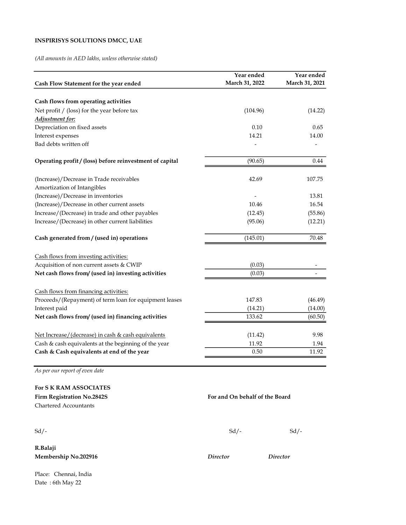### INSPIRISYS SOLUTIONS DMCC, UAE

(All amounts in AED lakhs, unless otherwise stated)

| Cash Flow Statement for the year ended                   | Year ended<br>March 31, 2022 | Year ended<br>March 31, 2021 |
|----------------------------------------------------------|------------------------------|------------------------------|
|                                                          |                              |                              |
| Cash flows from operating activities                     |                              |                              |
| Net profit / (loss) for the year before tax              | (104.96)                     | (14.22)                      |
| <b>Adjustment for:</b>                                   |                              |                              |
| Depreciation on fixed assets                             | 0.10                         | 0.65                         |
| Interest expenses                                        | 14.21                        | 14.00                        |
| Bad debts written off                                    |                              |                              |
| Operating profit / (loss) before reinvestment of capital | (90.65)                      | 0.44                         |
| (Increase)/Decrease in Trade receivables                 | 42.69                        | 107.75                       |
| Amortization of Intangibles                              |                              |                              |
| (Increase)/Decrease in inventories                       |                              | 13.81                        |
| (Increase)/Decrease in other current assets              | 10.46                        | 16.54                        |
| Increase/(Decrease) in trade and other payables          | (12.45)                      | (55.86)                      |
| Increase/(Decrease) in other current liabilities         | (95.06)                      | (12.21)                      |
| Cash generated from / (used in) operations               | (145.01)                     | 70.48                        |
| Cash flows from investing activities:                    |                              |                              |
| Acquisition of non current assets & CWIP                 | (0.03)                       |                              |
| Net cash flows from/ (used in) investing activities      | (0.03)                       |                              |
| Cash flows from financing activities:                    |                              |                              |
| Proceeds/(Repayment) of term loan for equipment leases   | 147.83                       | (46.49)                      |
| Interest paid                                            | (14.21)                      | (14.00)                      |
| Net cash flows from/ (used in) financing activities      | 133.62                       | (60.50)                      |
| Net Increase/(decrease) in cash & cash equivalents       | (11.42)                      | 9.98                         |
| Cash & cash equivalents at the beginning of the year     | 11.92                        | 1.94                         |
| Cash & Cash equivalents at end of the year               | 0.50                         | 11.92                        |

As per our report of even date

## For S K RAM ASSOCIATES Firm Registration No.2842S For and On behalf of the Board Chartered Accountants  $Sd$ <sub>-</sub>  $Sd$ <sub>-</sub>  $Sd$ -  $Sd$ -  $Sd$ -  $Sd$ -  $Sd$ -  $Sd$ -  $Sd$ -  $Sd$ -  $Sd$ -  $Sd$ -  $Sd$ -  $Sd$ -  $Sd$ -  $Sd$ -  $Sd$ -  $Sd$ -  $Sd$ -  $Sd$ -  $Sd$ -  $Sd$ -  $Sd$ -  $Sd$ -  $Sd$ -  $Sd$ -  $Sd$ -  $Sd$ -  $Sd$ -  $Sd$ -  $Sd$ -  $Sd$ -  $Sd$ -  $Sd$ -  $Sd$ -  $Sd$ - R.Balaji Membership No.202916 Director Director

Place: Chennai, India Date : 6th May 22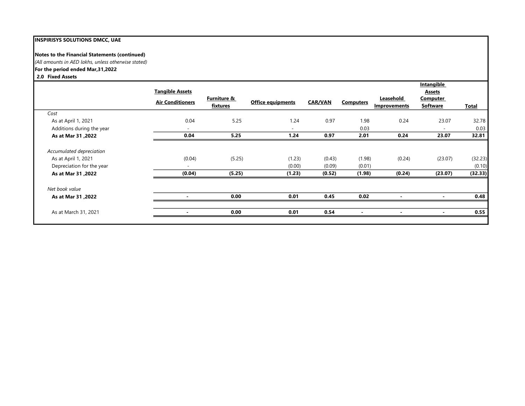### INSPIRISYS SOLUTIONS DMCC, UAE

### Notes to the Financial Statements (continued)

(All amounts in AED lakhs, unless otherwise stated)

### For the period ended Mar,31,2022

#### 2.0 Fixed Assets

|                           |                          |             |                          |                |                  |                     | <b>Intangible</b> |              |
|---------------------------|--------------------------|-------------|--------------------------|----------------|------------------|---------------------|-------------------|--------------|
|                           | <b>Tangible Assets</b>   |             |                          |                |                  |                     | <b>Assets</b>     |              |
|                           | <b>Air Conditioners</b>  | Furniture & | <b>Office equipments</b> | <b>CAR/VAN</b> | <b>Computers</b> | Leasehold           | Computer          |              |
|                           |                          | fixtures    |                          |                |                  | <b>Improvements</b> | <b>Software</b>   | <b>Total</b> |
| Cost                      |                          |             |                          |                |                  |                     |                   |              |
| As at April 1, 2021       | 0.04                     | 5.25        | 1.24                     | 0.97           | 1.98             | 0.24                | 23.07             | 32.78        |
| Additions during the year | $\overline{\phantom{a}}$ |             | $\overline{\phantom{0}}$ |                | 0.03             |                     | ۰                 | 0.03         |
| As at Mar 31,2022         | 0.04                     | 5.25        | 1.24                     | 0.97           | 2.01             | 0.24                | 23.07             | 32.81        |
| Accumulated depreciation  |                          |             |                          |                |                  |                     |                   |              |
| As at April 1, 2021       | (0.04)                   | (5.25)      | (1.23)                   | (0.43)         | (1.98)           | (0.24)              | (23.07)           | (32.23)      |
| Depreciation for the year | $\overline{\phantom{a}}$ |             | (0.00)                   | (0.09)         | (0.01)           |                     |                   | (0.10)       |
| As at Mar 31,2022         | (0.04)                   | (5.25)      | (1.23)                   | (0.52)         | (1.98)           | (0.24)              | (23.07)           | (32.33)      |
| Net book value            |                          |             |                          |                |                  |                     |                   |              |
| As at Mar 31, 2022        |                          | 0.00        | 0.01                     | 0.45           | 0.02             |                     |                   | 0.48         |
| As at March 31, 2021      |                          | 0.00        | 0.01                     | 0.54           | ۰                |                     |                   | 0.55         |
|                           |                          |             |                          |                |                  |                     |                   |              |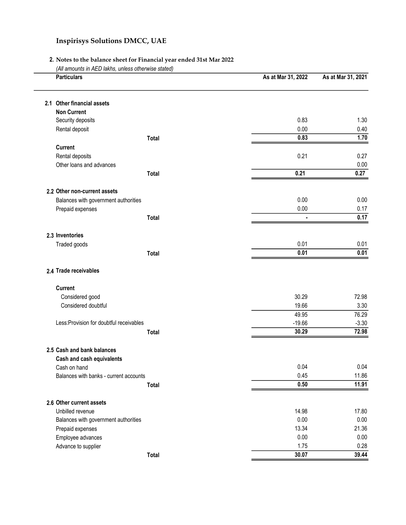### 2. Notes to the balance sheet for Financial year ended 31st Mar 2022

| <b>Particulars</b>                       |              | As at Mar 31, 2022 | As at Mar 31, 2021 |
|------------------------------------------|--------------|--------------------|--------------------|
| 2.1 Other financial assets               |              |                    |                    |
| <b>Non Current</b>                       |              |                    |                    |
| Security deposits                        |              | 0.83               | 1.30               |
| Rental deposit                           |              | 0.00               | 0.40               |
|                                          | <b>Total</b> | 0.83               | 1.70               |
| <b>Current</b>                           |              |                    |                    |
| Rental deposits                          |              | 0.21               | 0.27               |
| Other loans and advances                 |              |                    | 0.00               |
|                                          | <b>Total</b> | 0.21               | 0.27               |
| 2.2 Other non-current assets             |              |                    |                    |
| Balances with government authorities     |              | 0.00               | 0.00               |
| Prepaid expenses                         |              | 0.00               | 0.17               |
|                                          | <b>Total</b> | $\blacksquare$     | 0.17               |
| 2.3 Inventories                          |              |                    |                    |
| Traded goods                             |              | 0.01               | 0.01               |
|                                          | <b>Total</b> | 0.01               | 0.01               |
| 2.4 Trade receivables                    |              |                    |                    |
| <b>Current</b>                           |              |                    |                    |
| Considered good                          |              | 30.29              | 72.98              |
| Considered doubtful                      |              | 19.66              | 3.30               |
|                                          |              | 49.95              | 76.29              |
| Less: Provision for doubtful receivables |              | $-19.66$           | $-3.30$            |
|                                          | <b>Total</b> | 30.29              | 72.98              |
| 2.5 Cash and bank balances               |              |                    |                    |
| Cash and cash equivalents                |              |                    |                    |
| Cash on hand                             |              | 0.04               | 0.04               |
| Balances with banks - current accounts   |              | 0.45               | 11.86              |
|                                          | <b>Total</b> | 0.50               | 11.91              |
| 2.6 Other current assets                 |              |                    |                    |
| Unbilled revenue                         |              | 14.98              | 17.80              |
| Balances with government authorities     |              | 0.00               | 0.00               |
| Prepaid expenses                         |              | 13.34              | 21.36              |
| Employee advances                        |              | 0.00               | 0.00               |
| Advance to supplier                      |              | 1.75               | 0.28               |
|                                          | <b>Total</b> | 30.07              | 39.44              |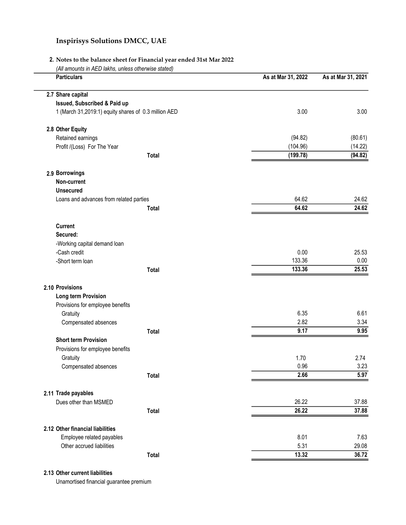### 2. Notes to the balance sheet for Financial year ended 31st Mar 2022

(All amounts in AED lakhs, unless otherwise stated)

| <b>Particulars</b>                                   | As at Mar 31, 2022 | As at Mar 31, 2021 |
|------------------------------------------------------|--------------------|--------------------|
| 2.7 Share capital                                    |                    |                    |
| Issued, Subscribed & Paid up                         |                    |                    |
| 1 (March 31,2019:1) equity shares of 0.3 million AED | 3.00               | 3.00               |
| 2.8 Other Equity                                     |                    |                    |
| Retained earnings                                    | (94.82)            | (80.61)            |
| Profit /(Loss) For The Year                          | (104.96)           | (14.22)            |
| <b>Total</b>                                         | (199.78)           | (94.82)            |
| 2.9 Borrowings                                       |                    |                    |
| Non-current                                          |                    |                    |
| <b>Unsecured</b>                                     |                    |                    |
| Loans and advances from related parties              | 64.62              | 24.62              |
| <b>Total</b>                                         | 64.62              | 24.62              |
| <b>Current</b>                                       |                    |                    |
| Secured:                                             |                    |                    |
| -Working capital demand loan                         |                    |                    |
| -Cash credit                                         | 0.00               | 25.53              |
| -Short term loan                                     | 133.36             | 0.00               |
| <b>Total</b>                                         | 133.36             | 25.53              |
| 2.10 Provisions                                      |                    |                    |
| <b>Long term Provision</b>                           |                    |                    |
| Provisions for employee benefits                     |                    |                    |
| Gratuity                                             | 6.35               | 6.61               |
| Compensated absences                                 | 2.82               | 3.34               |
| <b>Total</b>                                         | 9.17               | 9.95               |
| <b>Short term Provision</b>                          |                    |                    |
| Provisions for employee benefits                     |                    |                    |
| Gratuity                                             | 1.70               | 2.74               |
| Compensated absences                                 | 0.96               | 3.23               |
| <b>Total</b>                                         | 2.66               | 5.97               |
| 2.11 Trade payables                                  |                    |                    |
| Dues other than MSMED                                | 26.22              | 37.88              |
| <b>Total</b>                                         | 26.22              | 37.88              |
| 2.12 Other financial liabilities                     |                    |                    |
| Employee related payables                            | 8.01               | 7.63               |
| Other accrued liabilities                            | 5.31               | 29.08              |
| Total                                                | 13.32              | 36.72              |

### 2.13 Other current liabilities

Unamortised financial guarantee premium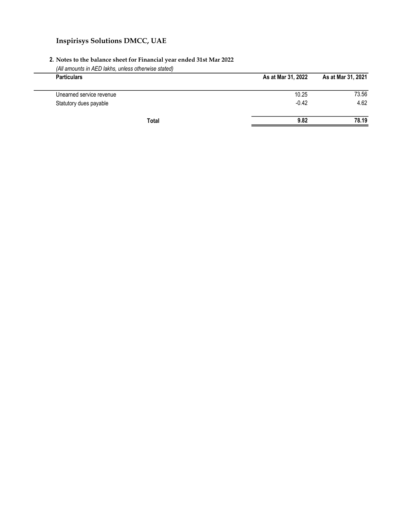### 2. Notes to the balance sheet for Financial year ended 31st Mar 2022

| <b>Particulars</b>       | As at Mar 31, 2022 | As at Mar 31, 2021 |
|--------------------------|--------------------|--------------------|
| Unearned service revenue | 10.25              | 73.56              |
| Statutory dues payable   | $-0.42$            | 4.62               |
| <b>Total</b>             | 9.82               | 78.19              |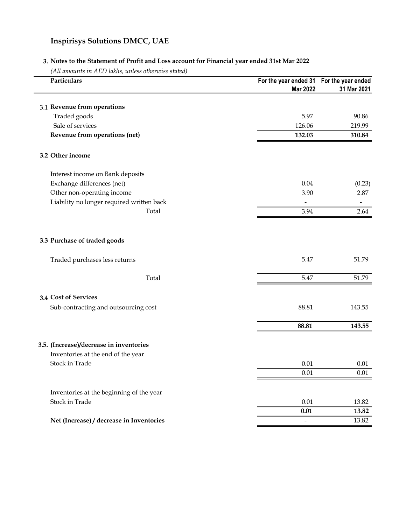### 3. Notes to the Statement of Profit and Loss account for Financial year ended 31st Mar 2022

| $(2 \, \mu \,$ anoanis in Time annis, anness omer wise stated,<br>Particulars | For the year ended 31 For the year ended<br><b>Mar 2022</b> | 31 Mar 2021              |
|-------------------------------------------------------------------------------|-------------------------------------------------------------|--------------------------|
| 3.1 Revenue from operations                                                   |                                                             |                          |
| Traded goods                                                                  | 5.97                                                        | 90.86                    |
| Sale of services                                                              | 126.06                                                      | 219.99                   |
| Revenue from operations (net)                                                 | 132.03                                                      | 310.84                   |
| 3.2 Other income                                                              |                                                             |                          |
| Interest income on Bank deposits                                              |                                                             |                          |
| Exchange differences (net)                                                    | 0.04                                                        | (0.23)                   |
| Other non-operating income                                                    | 3.90                                                        | 2.87                     |
| Liability no longer required written back                                     |                                                             | $\overline{\phantom{a}}$ |
| Total                                                                         | 3.94                                                        | 2.64                     |
| 3.3 Purchase of traded goods                                                  |                                                             |                          |
| Traded purchases less returns                                                 | 5.47                                                        | 51.79                    |
| Total                                                                         | 5.47                                                        | 51.79                    |
| 3.4 Cost of Services                                                          |                                                             |                          |
| Sub-contracting and outsourcing cost                                          | 88.81                                                       | 143.55                   |
|                                                                               | 88.81                                                       | 143.55                   |
| 3.5. (Increase)/decrease in inventories                                       |                                                             |                          |
| Inventories at the end of the year<br>Stock in Trade                          | 0.01                                                        | 0.01                     |
|                                                                               | $0.01\,$                                                    | $0.01\,$                 |
| Inventories at the beginning of the year                                      |                                                             |                          |
| Stock in Trade                                                                | 0.01                                                        | 13.82                    |
|                                                                               | 0.01                                                        | 13.82                    |
| Net (Increase) / decrease in Inventories                                      | $\qquad \qquad \blacksquare$                                | 13.82                    |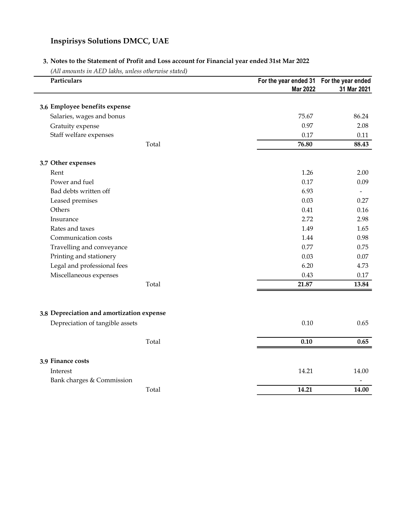### 3. Notes to the Statement of Profit and Loss account for Financial year ended 31st Mar 2022

| Particulars                               | For the year ended 31 For the year ended<br><b>Mar 2022</b> | 31 Mar 2021 |
|-------------------------------------------|-------------------------------------------------------------|-------------|
| 3.6 Employee benefits expense             |                                                             |             |
| Salaries, wages and bonus                 | 75.67                                                       | 86.24       |
| Gratuity expense                          | 0.97                                                        | 2.08        |
| Staff welfare expenses                    | 0.17                                                        | 0.11        |
| Total                                     | 76.80                                                       | 88.43       |
| 3.7 Other expenses                        |                                                             |             |
| Rent                                      | 1.26                                                        | 2.00        |
| Power and fuel                            | 0.17                                                        | 0.09        |
| Bad debts written off                     | 6.93                                                        |             |
| Leased premises                           | 0.03                                                        | 0.27        |
| Others                                    | 0.41                                                        | 0.16        |
| Insurance                                 | 2.72                                                        | 2.98        |
| Rates and taxes                           | 1.49                                                        | 1.65        |
| Communication costs                       | 1.44                                                        | 0.98        |
| Travelling and conveyance                 | 0.77                                                        | 0.75        |
| Printing and stationery                   | 0.03                                                        | 0.07        |
| Legal and professional fees               | 6.20                                                        | 4.73        |
| Miscellaneous expenses                    | 0.43                                                        | 0.17        |
| Total                                     | 21.87                                                       | 13.84       |
|                                           |                                                             |             |
| 3.8 Depreciation and amortization expense |                                                             |             |
| Depreciation of tangible assets           | 0.10                                                        | 0.65        |
| Total                                     | 0.10                                                        | 0.65        |
|                                           |                                                             |             |
| 3.9 Finance costs                         |                                                             |             |
| Interest                                  | 14.21                                                       | 14.00       |
| Bank charges & Commission                 |                                                             |             |
| Total                                     | 14.21                                                       | 14.00       |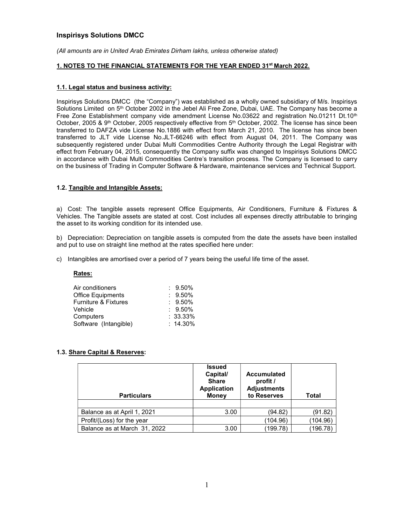(All amounts are in United Arab Emirates Dirham lakhs, unless otherwise stated)

### 1. NOTES TO THE FINANCIAL STATEMENTS FOR THE YEAR ENDED 31st March 2022.

#### 1.1. Legal status and business activity:

Inspirisys Solutions DMCC (the "Company") was established as a wholly owned subsidiary of M/s. Inspirisys Solutions Limited on 5<sup>th</sup> October 2002 in the Jebel Ali Free Zone, Dubai, UAE. The Company has become a Free Zone Establishment company vide amendment License No.03622 and registration No.01211 Dt.10<sup>th</sup> October, 2005 & 9<sup>th</sup> October, 2005 respectively effective from 5<sup>th</sup> October, 2002. The license has since been transferred to DAFZA vide License No.1886 with effect from March 21, 2010. The license has since been transferred to JLT vide License No.JLT-66246 with effect from August 04, 2011. The Company was subsequently registered under Dubai Multi Commodities Centre Authority through the Legal Registrar with effect from February 04, 2015, consequently the Company suffix was changed to Inspirisys Solutions DMCC in accordance with Dubai Multi Commodities Centre's transition process. The Company is licensed to carry on the business of Trading in Computer Software & Hardware, maintenance services and Technical Support.

#### 1.2. Tangible and Intangible Assets:

a) Cost: The tangible assets represent Office Equipments, Air Conditioners, Furniture & Fixtures & Vehicles. The Tangible assets are stated at cost. Cost includes all expenses directly attributable to bringing the asset to its working condition for its intended use.

b) Depreciation: Depreciation on tangible assets is computed from the date the assets have been installed and put to use on straight line method at the rates specified here under:

c) Intangibles are amortised over a period of 7 years being the useful life time of the asset.

#### Rates:

| Air conditioners                | $: 9.50\%$  |
|---------------------------------|-------------|
| <b>Office Equipments</b>        | $: 9.50\%$  |
| <b>Furniture &amp; Fixtures</b> | $: 9.50\%$  |
| Vehicle                         | $: 9.50\%$  |
| Computers                       | $: 33.33\%$ |
| Software (Intangible)           | $: 14.30\%$ |

#### 1.3. Share Capital & Reserves:

| <b>Particulars</b>           | <b>Issued</b><br>Capital/<br><b>Share</b><br><b>Application</b><br><b>Money</b> | <b>Accumulated</b><br>profit /<br><b>Adjustments</b><br>to Reserves | Total    |
|------------------------------|---------------------------------------------------------------------------------|---------------------------------------------------------------------|----------|
| Balance as at April 1, 2021  | 3.00                                                                            | (94.82)                                                             | (91.82)  |
| Profit/(Loss) for the year   |                                                                                 | (104.96)                                                            | (104.96) |
| Balance as at March 31, 2022 | 3.00                                                                            | (199.78)                                                            | (196.78) |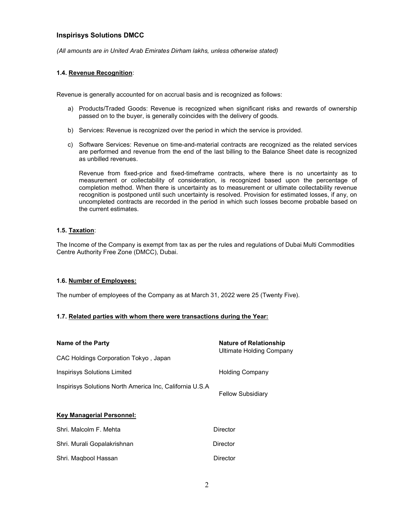(All amounts are in United Arab Emirates Dirham lakhs, unless otherwise stated)

### 1.4. Revenue Recognition:

Revenue is generally accounted for on accrual basis and is recognized as follows:

- a) Products/Traded Goods: Revenue is recognized when significant risks and rewards of ownership passed on to the buyer, is generally coincides with the delivery of goods.
- b) Services: Revenue is recognized over the period in which the service is provided.
- c) Software Services: Revenue on time-and-material contracts are recognized as the related services are performed and revenue from the end of the last billing to the Balance Sheet date is recognized as unbilled revenues.

Revenue from fixed-price and fixed-timeframe contracts, where there is no uncertainty as to measurement or collectability of consideration, is recognized based upon the percentage of completion method. When there is uncertainty as to measurement or ultimate collectability revenue recognition is postponed until such uncertainty is resolved. Provision for estimated losses, if any, on uncompleted contracts are recorded in the period in which such losses become probable based on the current estimates.

### 1.5. Taxation:

The Income of the Company is exempt from tax as per the rules and regulations of Dubai Multi Commodities Centre Authority Free Zone (DMCC), Dubai.

### 1.6. Number of Employees:

The number of employees of the Company as at March 31, 2022 were 25 (Twenty Five).

#### 1.7. Related parties with whom there were transactions during the Year:

| <b>Nature of Relationship</b><br>Ultimate Holding Company |  |
|-----------------------------------------------------------|--|
|                                                           |  |
| Holding Company                                           |  |
| <b>Fellow Subsidiary</b>                                  |  |
|                                                           |  |
| Director                                                  |  |
| Director                                                  |  |
|                                                           |  |

Shri. Maqbool Hassan Director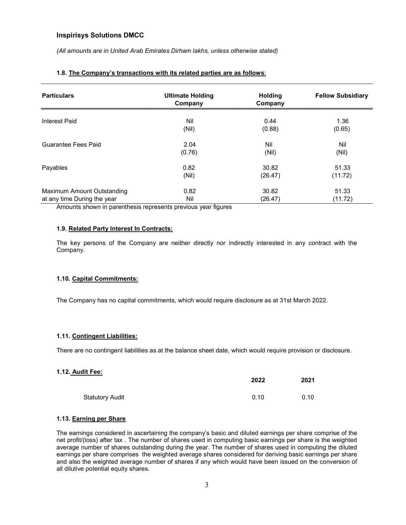(All amounts are in United Arab Emirates Dirham lakhs, unless otherwise stated)

|  |  | 1.8. The Company's transactions with its related parties are as follows: |  |  |  |  |
|--|--|--------------------------------------------------------------------------|--|--|--|--|
|--|--|--------------------------------------------------------------------------|--|--|--|--|

| <b>Particulars</b>          | <b>Ultimate Holding</b><br>Company | <b>Holding</b><br>Company | <b>Fellow Subsidiary</b> |
|-----------------------------|------------------------------------|---------------------------|--------------------------|
| Interest Paid               | Nil                                | 0.44                      | 1.36                     |
|                             | (Nil)                              | (0.88)                    | (0.65)                   |
| Guarantee Fees Paid         | 2.04                               | Nil                       | Nil                      |
|                             | (0.76)                             | (Nil)                     | (Nil)                    |
| Payables                    | 0.82                               | 30.82                     | 51.33                    |
|                             | (Nil)                              | (26.47)                   | (11.72)                  |
| Maximum Amount Outstanding  | 0.82                               | 30.82                     | 51.33                    |
| at any time During the year | Nil                                | (26.47)                   | (11.72)                  |

Amounts shown in parenthesis represents previous year figures

#### 1.9. Related Party Interest In Contracts:

The key persons of the Company are neither directly nor indirectly interested in any contract with the Company.

### 1.10. Capital Commitments:

The Company has no capital commitments, which would require disclosure as at 31st March 2022.

#### 1.11. Contingent Liabilities:

There are no contingent liabilities as at the balance sheet date, which would require provision or disclosure.

### 1.12. Audit Fee:

|                        | 2022 | 2021 |
|------------------------|------|------|
| <b>Statutory Audit</b> | 0.10 | 0.10 |

#### 1.13. Earning per Share

The earnings considered in ascertaining the company's basic and diluted earnings per share comprise of the net profit/(loss) after tax . The number of shares used in computing basic earnings per share is the weighted average number of shares outstanding during the year. The number of shares used in computing the diluted earnings per share comprises the weighted average shares considered for deriving basic earnings per share and also the weighted average number of shares if any which would have been issued on the conversion of all dilutive potential equity shares.